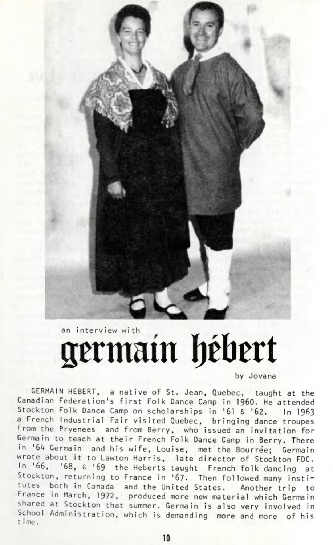

## an interview with the hebert

by Jovana

GERMAIN HEBERT, a native of St. Jean, Quebec, taught at the Canadian Federation's first Folk Dance Camp in I960. He attended Stockton Folk Dance Camp on scholarships in '61 & '62. In 1963 a French Industrial Fair visited Quebec, bringing dance troupes from the Pryenees and from Berry, who issued an invitation for Germain to teach at their French Folk Dance Camp in Berry. There in '64 Germain and his wife, Louise, met the Bourree; Germain wrote about it to Lawton Harris, late director of Stockton FDC. In '66, '68,  $\epsilon$  '69 the Heberts taught French folk dancing at Stockton, returning to France in '67. Then followed many institutes both in Canada and the United States. Another trip to France in March, 1972, produced more new material which Germain shared at Stockton that summer. Germain is also very involved in School Administration, which is demanding more and more of his t ime.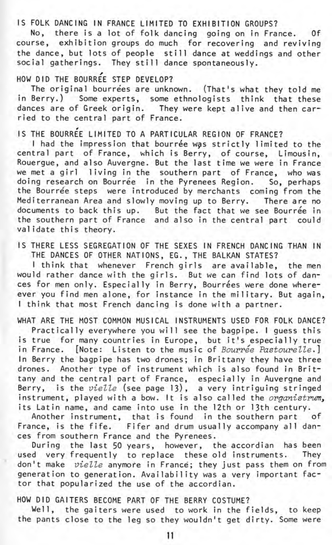IS FOLK DANCING IN FRANCE LIMITED TO EXHIBITION GROUPS?

No, there is a lot of folk dancing going on in France. Of course, exhibition groups do much for recovering and reviving the dance, but lots of people still dance at weddings and other social gatherings. They still dance spontaneously.

## HOW DID THE BOURREE STEP DEVELOP?

The original bourrees are unknown. (That's what they told me in Berry.) Some experts, some ethnologists think that these dances are of Greek origin. They were kept alive and then carried to the central part of France.

## IS THE BOURREE LIMITED TO A PARTICULAR REGION OF FRANCE?

I had the impression that bourrée was strictly limited to the central part of France, which is Berry, of course, Limousin, Rouergue, and also Auvergne. But the last time we were in France we met a girl living in the southern part of France, who was doing research on Bourrée in the Pyrenees Region. So, perhaps the Bourrée steps were introduced by merchants coming from the Mediterranean Area and slowly moving up to Berry. There are no documents to back this up. But the fact that we see Bourrée in the southern part of France and also in the central part could validate this theory.

IS THERE LESS SEGREGATION OF THE SEXES IN FRENCH DANCING THAN IN THE DANCES OF OTHER NATIONS, EG., THE BALKAN STATES?

I think that whenever French girls are available, the men would rather dance with the girls. But we can find lots of dances for men only. Especially in Berry, Bourrées were done whereever you find men alone, for instance in the military. But again. I think that most French dancing is done with a partner.

WHAT ARE THE MOST COMMON MUSICAL INSTRUMENTS USED FOR FOLK DANCE? Practically everywhere you will see the bagpipe. I guess this is true for many countries in Europe, but it's especially true in France. [Note: Listen to the music of Bourrée Pastourelle.] In Berry the bagpipe has two drones; in Brittany they have three drones. Another type of instrument which is also found in Brittany and the central part of France, especially in Auvergne and Berry, is the vielle (see page 13), a very intriguing stringed instrument, played with a bow. It is also called the *organistrum*, its Latin name, and came into use in the 12th or 13th century.

Another instrument, that is found in the southern part of France, is the fife. Fifer and drum usually accompany all dances from southern France and the Pyrenees.

During the last 50 years, however, the accordian has been used very frequently to replace these old instruments. They don't make vielle anymore in France; they just pass them on from generation to generation. Availability was a very important factor that popularized the use of the accordian.

HOW DID GAITERS BECOME PART OF THE BERRY COSTUME?

Well, the gaiters were used to work in the fields, to keep the pants close to the leg so they wouldn't get dirty. Some were